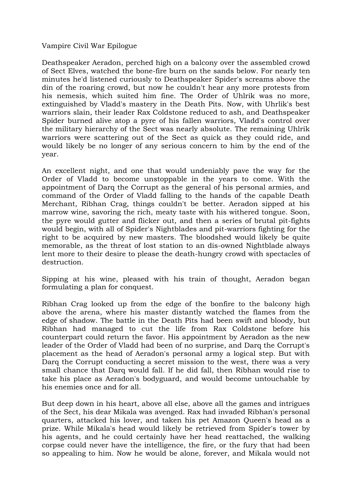Vampire Civil War Epilogue

Deathspeaker Aeradon, perched high on a balcony over the assembled crowd of Sect Elves, watched the bone-fire burn on the sands below. For nearly ten minutes he'd listened curiously to Deathspeaker Spider's screams above the din of the roaring crowd, but now he couldn't hear any more protests from his nemesis, which suited him fine. The Order of Uhlrik was no more, extinguished by Vladd's mastery in the Death Pits. Now, with Uhrlik's best warriors slain, their leader Rax Coldstone reduced to ash, and Deathspeaker Spider burned alive atop a pyre of his fallen warriors, Vladd's control over the military hierarchy of the Sect was nearly absolute. The remaining Uhlrik warriors were scattering out of the Sect as quick as they could ride, and would likely be no longer of any serious concern to him by the end of the year.

An excellent night, and one that would undeniably pave the way for the Order of Vladd to become unstoppable in the years to come. With the appointment of Darq the Corrupt as the general of his personal armies, and command of the Order of Vladd falling to the hands of the capable Death Merchant, Ribhan Crag, things couldn't be better. Aeradon sipped at his marrow wine, savoring the rich, meaty taste with his withered tongue. Soon, the pyre would gutter and flicker out, and then a series of brutal pit-fights would begin, with all of Spider's Nightblades and pit-warriors fighting for the right to be acquired by new masters. The bloodshed would likely be quite memorable, as the threat of lost station to an dis-owned Nightblade always lent more to their desire to please the death-hungry crowd with spectacles of destruction.

Sipping at his wine, pleased with his train of thought, Aeradon began formulating a plan for conquest.

Ribhan Crag looked up from the edge of the bonfire to the balcony high above the arena, where his master distantly watched the flames from the edge of shadow. The battle in the Death Pits had been swift and bloody, but Ribhan had managed to cut the life from Rax Coldstone before his counterpart could return the favor. His appointment by Aeradon as the new leader of the Order of Vladd had been of no surprise, and Darq the Corrupt's placement as the head of Aeradon's personal army a logical step. But with Darq the Corrupt conducting a secret mission to the west, there was a very small chance that Darq would fall. If he did fall, then Ribhan would rise to take his place as Aeradon's bodyguard, and would become untouchable by his enemies once and for all.

But deep down in his heart, above all else, above all the games and intrigues of the Sect, his dear Mikala was avenged. Rax had invaded Ribhan's personal quarters, attacked his lover, and taken his pet Amazon Queen's head as a prize. While Mikala's head would likely be retrieved from Spider's tower by his agents, and he could certainly have her head reattached, the walking corpse could never have the intelligence, the fire, or the fury that had been so appealing to him. Now he would be alone, forever, and Mikala would not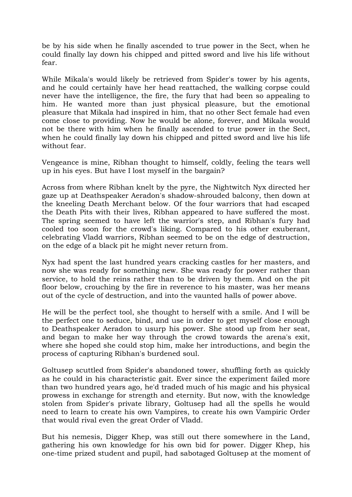be by his side when he finally ascended to true power in the Sect, when he could finally lay down his chipped and pitted sword and live his life without fear.

While Mikala's would likely be retrieved from Spider's tower by his agents, and he could certainly have her head reattached, the walking corpse could never have the intelligence, the fire, the fury that had been so appealing to him. He wanted more than just physical pleasure, but the emotional pleasure that Mikala had inspired in him, that no other Sect female had even come close to providing. Now he would be alone, forever, and Mikala would not be there with him when he finally ascended to true power in the Sect, when he could finally lay down his chipped and pitted sword and live his life without fear.

Vengeance is mine, Ribhan thought to himself, coldly, feeling the tears well up in his eyes. But have I lost myself in the bargain?

Across from where Ribhan knelt by the pyre, the Nightwitch Nyx directed her gaze up at Deathspeaker Aeradon's shadow-shrouded balcony, then down at the kneeling Death Merchant below. Of the four warriors that had escaped the Death Pits with their lives, Ribhan appeared to have suffered the most. The spring seemed to have left the warrior's step, and Ribhan's fury had cooled too soon for the crowd's liking. Compared to his other exuberant, celebrating Vladd warriors, Ribhan seemed to be on the edge of destruction, on the edge of a black pit he might never return from.

Nyx had spent the last hundred years cracking castles for her masters, and now she was ready for something new. She was ready for power rather than service, to hold the reins rather than to be driven by them. And on the pit floor below, crouching by the fire in reverence to his master, was her means out of the cycle of destruction, and into the vaunted halls of power above.

He will be the perfect tool, she thought to herself with a smile. And I will be the perfect one to seduce, bind, and use in order to get myself close enough to Deathspeaker Aeradon to usurp his power. She stood up from her seat, and began to make her way through the crowd towards the arena's exit, where she hoped she could stop him, make her introductions, and begin the process of capturing Ribhan's burdened soul.

Goltusep scuttled from Spider's abandoned tower, shuffling forth as quickly as he could in his characteristic gait. Ever since the experiment failed more than two hundred years ago, he'd traded much of his magic and his physical prowess in exchange for strength and eternity. But now, with the knowledge stolen from Spider's private library, Goltusep had all the spells he would need to learn to create his own Vampires, to create his own Vampiric Order that would rival even the great Order of Vladd.

But his nemesis, Digger Khep, was still out there somewhere in the Land, gathering his own knowledge for his own bid for power. Digger Khep, his one-time prized student and pupil, had sabotaged Goltusep at the moment of